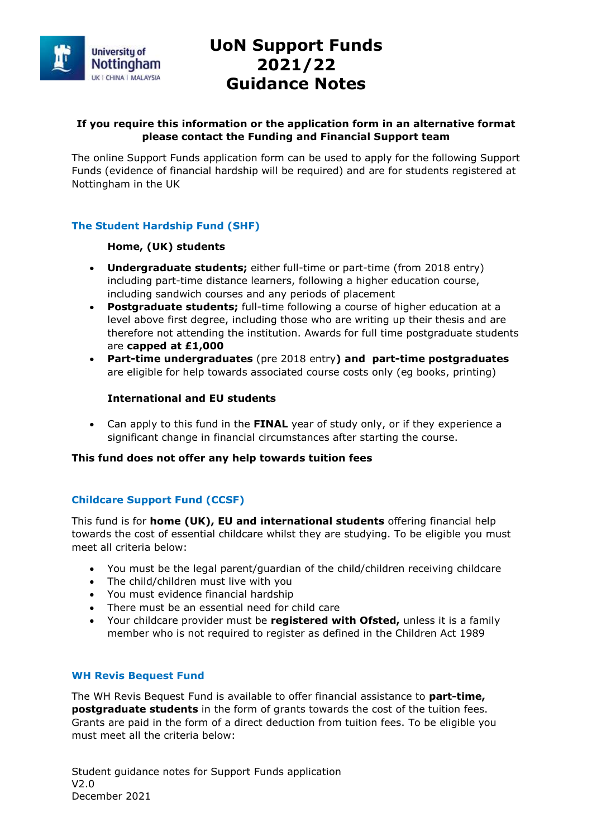

# **UoN Support Funds 2021/22 Guidance Notes**

## **If you require this information or the application form in an alternative format please contact the Funding and Financial Support team**

The online Support Funds application form can be used to apply for the following Support Funds (evidence of financial hardship will be required) and are for students registered at Nottingham in the UK

# **The Student Hardship Fund (SHF)**

# **Home, (UK) students**

- **Undergraduate students;** either full-time or part-time (from 2018 entry) including part-time distance learners, following a higher education course, including sandwich courses and any periods of placement
- **Postgraduate students;** full-time following a course of higher education at a level above first degree, including those who are writing up their thesis and are therefore not attending the institution. Awards for full time postgraduate students are **capped at £1,000**
- **Part-time undergraduates** (pre 2018 entry**) and part-time postgraduates** are eligible for help towards associated course costs only (eg books, printing)

# **International and EU students**

 Can apply to this fund in the **FINAL** year of study only, or if they experience a significant change in financial circumstances after starting the course.

## **This fund does not offer any help towards tuition fees**

# **Childcare Support Fund (CCSF)**

This fund is for **home (UK), EU and international students** offering financial help towards the cost of essential childcare whilst they are studying. To be eligible you must meet all criteria below:

- You must be the legal parent/guardian of the child/children receiving childcare
- The child/children must live with you
- You must evidence financial hardship
- There must be an essential need for child care
- Your childcare provider must be **registered with Ofsted,** unless it is a family member who is not required to register as defined in the Children Act 1989

## **WH Revis Bequest Fund**

The WH Revis Bequest Fund is available to offer financial assistance to **part-time, postgraduate students** in the form of grants towards the cost of the tuition fees. Grants are paid in the form of a direct deduction from tuition fees. To be eligible you must meet all the criteria below:

Student guidance notes for Support Funds application V2.0 December 2021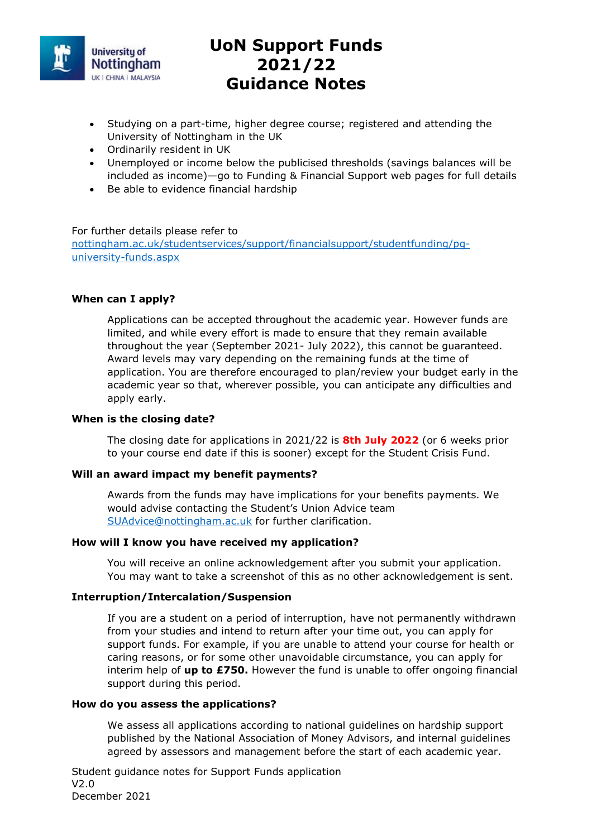

# **UoN Support Funds 2021/22 Guidance Notes**

- Studying on a part-time, higher degree course; registered and attending the University of Nottingham in the UK
- Ordinarily resident in UK
- Unemployed or income below the publicised thresholds (savings balances will be included as income)—go to Funding & Financial Support web pages for full details
- Be able to evidence financial hardship

### For further details please refer to

nottingham.ac.uk/studentservices/support/financialsupport/studentfunding/pguniversity-funds.aspx

## **When can I apply?**

Applications can be accepted throughout the academic year. However funds are limited, and while every effort is made to ensure that they remain available throughout the year (September 2021- July 2022), this cannot be guaranteed. Award levels may vary depending on the remaining funds at the time of application. You are therefore encouraged to plan/review your budget early in the academic year so that, wherever possible, you can anticipate any difficulties and apply early.

## **When is the closing date?**

The closing date for applications in 2021/22 is **8th July 2022** (or 6 weeks prior to your course end date if this is sooner) except for the Student Crisis Fund.

### **Will an award impact my benefit payments?**

Awards from the funds may have implications for your benefits payments. We would advise contacting the Student's Union Advice team SUAdvice@nottingham.ac.uk for further clarification.

## **How will I know you have received my application?**

You will receive an online acknowledgement after you submit your application. You may want to take a screenshot of this as no other acknowledgement is sent.

### **Interruption/Intercalation/Suspension**

If you are a student on a period of interruption, have not permanently withdrawn from your studies and intend to return after your time out, you can apply for support funds. For example, if you are unable to attend your course for health or caring reasons, or for some other unavoidable circumstance, you can apply for interim help of **up to £750.** However the fund is unable to offer ongoing financial support during this period.

### **How do you assess the applications?**

We assess all applications according to national guidelines on hardship support published by the National Association of Money Advisors, and internal guidelines agreed by assessors and management before the start of each academic year.

Student guidance notes for Support Funds application V2.0 December 2021